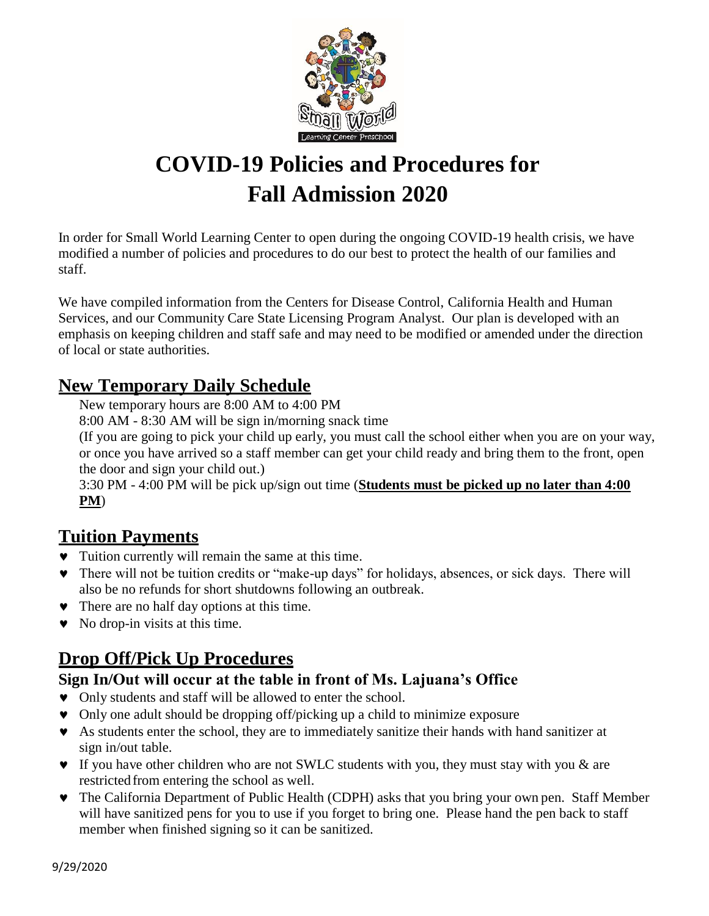

# **COVID-19 Policies and Procedures for Fall Admission 2020**

In order for Small World Learning Center to open during the ongoing COVID-19 health crisis, we have modified a number of policies and procedures to do our best to protect the health of our families and staff.

We have compiled information from the Centers for Disease Control, California Health and Human Services, and our Community Care State Licensing Program Analyst. Our plan is developed with an emphasis on keeping children and staff safe and may need to be modified or amended under the direction of local or state authorities.

#### **New Temporary Daily Schedule**

New temporary hours are 8:00 AM to 4:00 PM

8:00 AM - 8:30 AM will be sign in/morning snack time

(If you are going to pick your child up early, you must call the school either when you are on your way, or once you have arrived so a staff member can get your child ready and bring them to the front, open the door and sign your child out.)

3:30 PM - 4:00 PM will be pick up/sign out time (**Students must be picked up no later than 4:00 PM**)

## **Tuition Payments**

- Tuition currently will remain the same at this time.
- There will not be tuition credits or "make-up days" for holidays, absences, or sick days. There will also be no refunds for short shutdowns following an outbreak.
- There are no half day options at this time.
- $\bullet$  No drop-in visits at this time.

## **Drop Off/Pick Up Procedures**

#### **Sign In/Out will occur at the table in front of Ms. Lajuana's Office**

- Only students and staff will be allowed to enter the school.
- Only one adult should be dropping off/picking up a child to minimize exposure
- As students enter the school, they are to immediately sanitize their hands with hand sanitizer at sign in/out table.
- $\bullet$  If you have other children who are not SWLC students with you, they must stay with you & are restrictedfrom entering the school as well.
- The California Department of Public Health (CDPH) asks that you bring your own pen. Staff Member will have sanitized pens for you to use if you forget to bring one. Please hand the pen back to staff member when finished signing so it can be sanitized.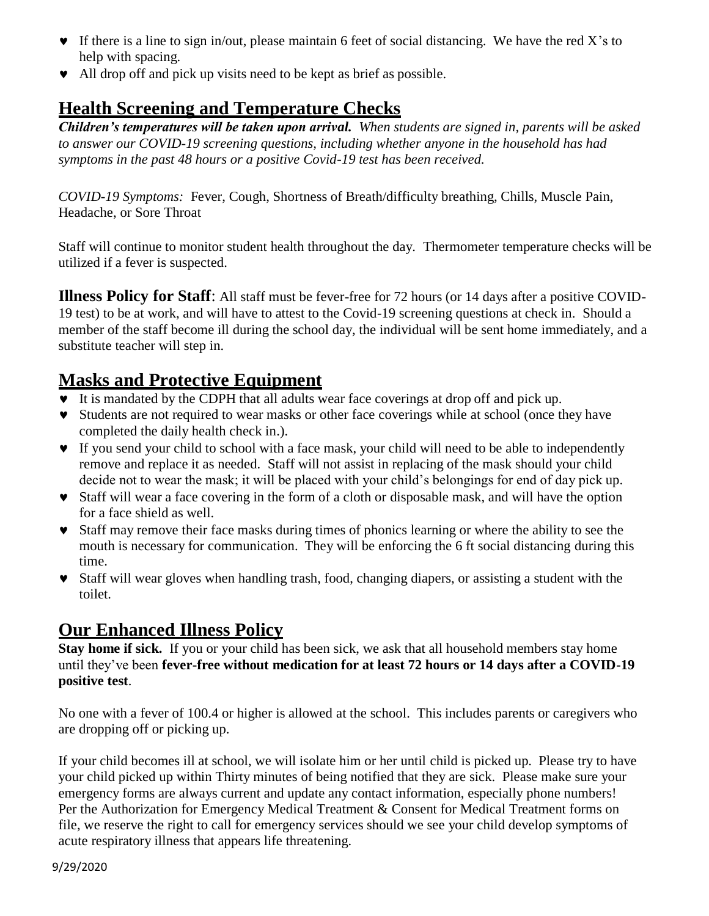- $\bullet$  If there is a line to sign in/out, please maintain 6 feet of social distancing. We have the red X's to help with spacing.
- All drop off and pick up visits need to be kept as brief as possible.

## **Health Screening and Temperature Checks**

*Children's temperatures will be taken upon arrival. When students are signed in, parents will be asked to answer our COVID-19 screening questions, including whether anyone in the household has had symptoms in the past 48 hours or a positive Covid-19 test has been received.* 

*COVID-19 Symptoms:* Fever, Cough, Shortness of Breath/difficulty breathing, Chills, Muscle Pain, Headache, or Sore Throat

Staff will continue to monitor student health throughout the day. Thermometer temperature checks will be utilized if a fever is suspected.

**Illness Policy for Staff**: All staff must be fever-free for 72 hours (or 14 days after a positive COVID-19 test) to be at work, and will have to attest to the Covid-19 screening questions at check in. Should a member of the staff become ill during the school day, the individual will be sent home immediately, and a substitute teacher will step in.

### **Masks and Protective Equipment**

- It is mandated by the CDPH that all adults wear face coverings at drop off and pick up.
- Students are not required to wear masks or other face coverings while at school (once they have completed the daily health check in.).
- If you send your child to school with a face mask, your child will need to be able to independently remove and replace it as needed. Staff will not assist in replacing of the mask should your child decide not to wear the mask; it will be placed with your child's belongings for end of day pick up.
- Staff will wear a face covering in the form of a cloth or disposable mask, and will have the option for a face shield as well.
- Staff may remove their face masks during times of phonics learning or where the ability to see the mouth is necessary for communication. They will be enforcing the 6 ft social distancing during this time.
- Staff will wear gloves when handling trash, food, changing diapers, or assisting a student with the toilet.

#### **Our Enhanced Illness Policy**

**Stay home if sick.** If you or your child has been sick, we ask that all household members stay home until they've been **fever-free without medication for at least 72 hours or 14 days after a COVID-19 positive test**.

No one with a fever of 100.4 or higher is allowed at the school. This includes parents or caregivers who are dropping off or picking up.

If your child becomes ill at school, we will isolate him or her until child is picked up. Please try to have your child picked up within Thirty minutes of being notified that they are sick. Please make sure your emergency forms are always current and update any contact information, especially phone numbers! Per the Authorization for Emergency Medical Treatment & Consent for Medical Treatment forms on file, we reserve the right to call for emergency services should we see your child develop symptoms of acute respiratory illness that appears life threatening.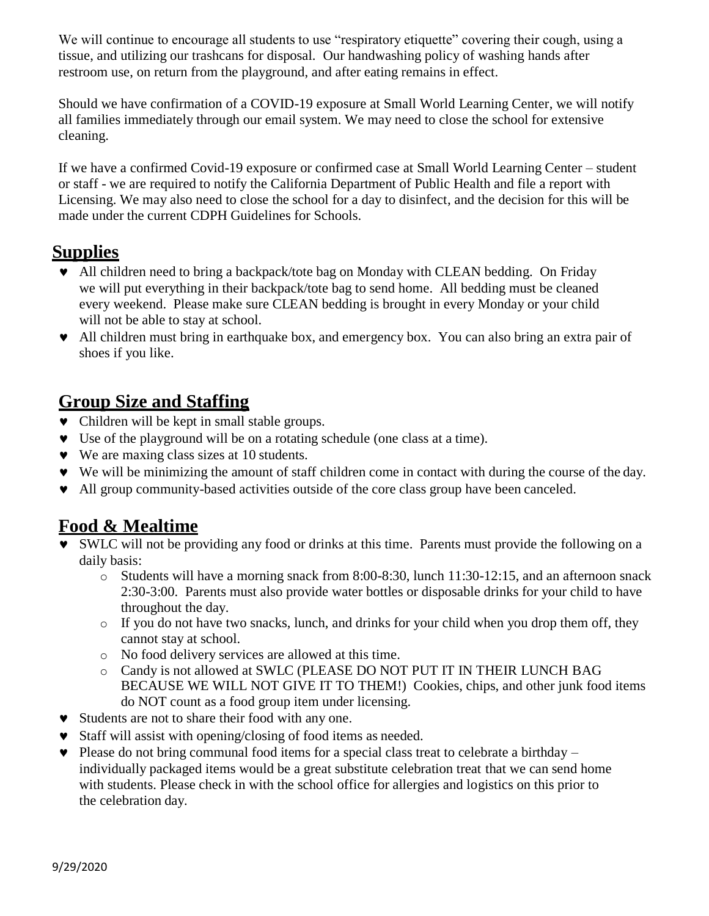We will continue to encourage all students to use "respiratory etiquette" covering their cough, using a tissue, and utilizing our trashcans for disposal. Our handwashing policy of washing hands after restroom use, on return from the playground, and after eating remains in effect.

Should we have confirmation of a COVID-19 exposure at Small World Learning Center, we will notify all families immediately through our email system. We may need to close the school for extensive cleaning.

If we have a confirmed Covid-19 exposure or confirmed case at Small World Learning Center – student or staff - we are required to notify the California Department of Public Health and file a report with Licensing. We may also need to close the school for a day to disinfect, and the decision for this will be made under the current CDPH Guidelines for Schools.

#### **Supplies**

- All children need to bring a backpack/tote bag on Monday with CLEAN bedding. On Friday we will put everything in their backpack/tote bag to send home. All bedding must be cleaned every weekend. Please make sure CLEAN bedding is brought in every Monday or your child will not be able to stay at school.
- All children must bring in earthquake box, and emergency box. You can also bring an extra pair of shoes if you like.

## **Group Size and Staffing**

- Children will be kept in small stable groups.
- Use of the playground will be on a rotating schedule (one class at a time).
- We are maxing class sizes at 10 students.
- We will be minimizing the amount of staff children come in contact with during the course of the day.
- All group community-based activities outside of the core class group have been canceled.

#### **Food & Mealtime**

- SWLC will not be providing any food or drinks at this time. Parents must provide the following on a daily basis:
	- $\circ$  Students will have a morning snack from 8:00-8:30, lunch 11:30-12:15, and an afternoon snack 2:30-3:00. Parents must also provide water bottles or disposable drinks for your child to have throughout the day.
	- o If you do not have two snacks, lunch, and drinks for your child when you drop them off, they cannot stay at school.
	- o No food delivery services are allowed at this time.
	- o Candy is not allowed at SWLC (PLEASE DO NOT PUT IT IN THEIR LUNCH BAG BECAUSE WE WILL NOT GIVE IT TO THEM!) Cookies, chips, and other junk food items do NOT count as a food group item under licensing.
- Students are not to share their food with any one.
- Staff will assist with opening/closing of food items as needed.
- $\bullet$  Please do not bring communal food items for a special class treat to celebrate a birthday individually packaged items would be a great substitute celebration treat that we can send home with students. Please check in with the school office for allergies and logistics on this prior to the celebration day.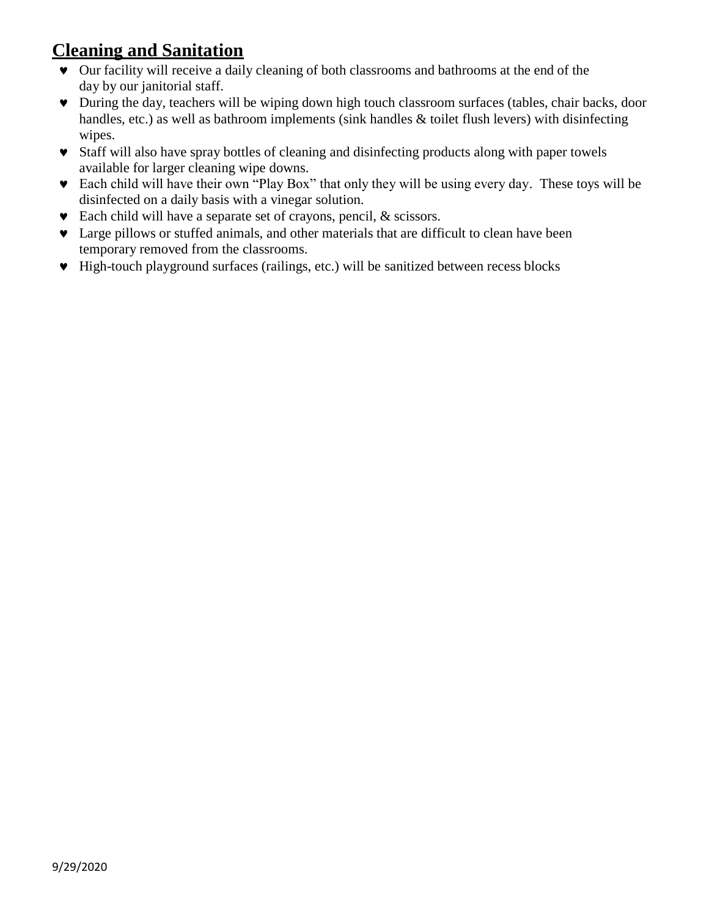## **Cleaning and Sanitation**

- Our facility will receive a daily cleaning of both classrooms and bathrooms at the end of the day by our janitorial staff.
- During the day, teachers will be wiping down high touch classroom surfaces (tables, chair backs, door handles, etc.) as well as bathroom implements (sink handles & toilet flush levers) with disinfecting wipes.
- Staff will also have spray bottles of cleaning and disinfecting products along with paper towels available for larger cleaning wipe downs.
- Each child will have their own "Play Box" that only they will be using every day. These toys will be disinfected on a daily basis with a vinegar solution.
- Each child will have a separate set of crayons, pencil, & scissors.
- Large pillows or stuffed animals, and other materials that are difficult to clean have been temporary removed from the classrooms.
- High-touch playground surfaces (railings, etc.) will be sanitized between recess blocks